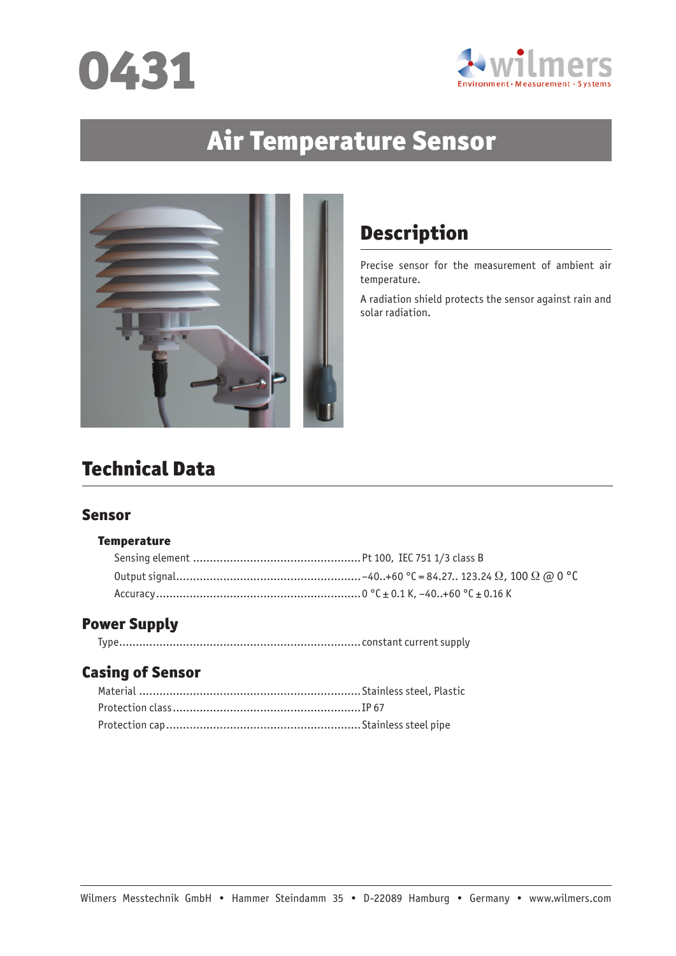



# Air Temperature Sensor



## Description

Precise sensor for the measurement of ambient air temperature.

A radiation shield protects the sensor against rain and solar radiation.

## Technical Data

#### Sensor

#### **Temperature**

## Power Supply

|--|--|--|

### Casing of Sensor